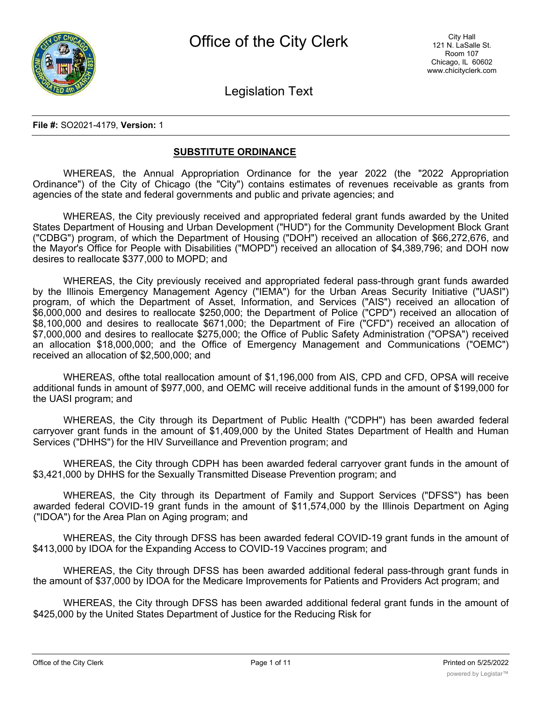

Legislation Text

#### **File #:** SO2021-4179, **Version:** 1

## **SUBSTITUTE ORDINANCE**

WHEREAS, the Annual Appropriation Ordinance for the year 2022 (the "2022 Appropriation Ordinance") of the City of Chicago (the "City") contains estimates of revenues receivable as grants from agencies of the state and federal governments and public and private agencies; and

WHEREAS, the City previously received and appropriated federal grant funds awarded by the United States Department of Housing and Urban Development ("HUD") for the Community Development Block Grant ("CDBG") program, of which the Department of Housing ("DOH") received an allocation of \$66,272,676, and the Mayor's Office for People with Disabilities ("MOPD") received an allocation of \$4,389,796; and DOH now desires to reallocate \$377,000 to MOPD; and

WHEREAS, the City previously received and appropriated federal pass-through grant funds awarded by the Illinois Emergency Management Agency ("IEMA") for the Urban Areas Security Initiative ("UASI") program, of which the Department of Asset, Information, and Services ("AIS") received an allocation of \$6,000,000 and desires to reallocate \$250,000; the Department of Police ("CPD") received an allocation of \$8,100,000 and desires to reallocate \$671,000; the Department of Fire ("CFD") received an allocation of \$7,000,000 and desires to reallocate \$275,000; the Office of Public Safety Administration ("OPSA") received an allocation \$18,000,000; and the Office of Emergency Management and Communications ("OEMC") received an allocation of \$2,500,000; and

WHEREAS, ofthe total reallocation amount of \$1,196,000 from AIS, CPD and CFD, OPSA will receive additional funds in amount of \$977,000, and OEMC will receive additional funds in the amount of \$199,000 for the UASI program; and

WHEREAS, the City through its Department of Public Health ("CDPH") has been awarded federal carryover grant funds in the amount of \$1,409,000 by the United States Department of Health and Human Services ("DHHS") for the HIV Surveillance and Prevention program; and

WHEREAS, the City through CDPH has been awarded federal carryover grant funds in the amount of \$3,421,000 by DHHS for the Sexually Transmitted Disease Prevention program; and

WHEREAS, the City through its Department of Family and Support Services ("DFSS") has been awarded federal COVID-19 grant funds in the amount of \$11,574,000 by the Illinois Department on Aging ("IDOA") for the Area Plan on Aging program; and

WHEREAS, the City through DFSS has been awarded federal COVID-19 grant funds in the amount of \$413,000 by IDOA for the Expanding Access to COVID-19 Vaccines program; and

WHEREAS, the City through DFSS has been awarded additional federal pass-through grant funds in the amount of \$37,000 by IDOA for the Medicare Improvements for Patients and Providers Act program; and

WHEREAS, the City through DFSS has been awarded additional federal grant funds in the amount of \$425,000 by the United States Department of Justice for the Reducing Risk for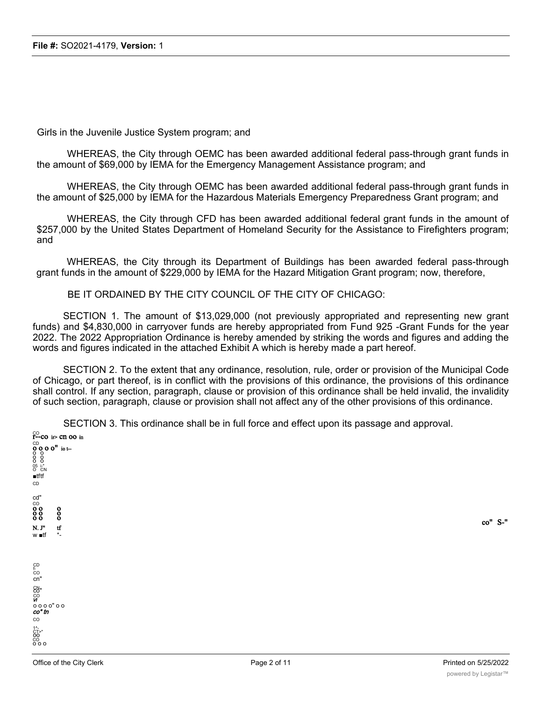Girls in the Juvenile Justice System program; and

WHEREAS, the City through OEMC has been awarded additional federal pass-through grant funds in the amount of \$69,000 by IEMA for the Emergency Management Assistance program; and

WHEREAS, the City through OEMC has been awarded additional federal pass-through grant funds in the amount of \$25,000 by IEMA for the Hazardous Materials Emergency Preparedness Grant program; and

WHEREAS, the City through CFD has been awarded additional federal grant funds in the amount of \$257,000 by the United States Department of Homeland Security for the Assistance to Firefighters program; and

WHEREAS, the City through its Department of Buildings has been awarded federal pass-through grant funds in the amount of \$229,000 by IEMA for the Hazard Mitigation Grant program; now, therefore,

BE IT ORDAINED BY THE CITY COUNCIL OF THE CITY OF CHICAGO:

SECTION 1. The amount of \$13,029,000 (not previously appropriated and representing new grant funds) and \$4,830,000 in carryover funds are hereby appropriated from Fund 925 -Grant Funds for the year 2022. The 2022 Appropriation Ordinance is hereby amended by striking the words and figures and adding the words and figures indicated in the attached Exhibit A which is hereby made a part hereof.

SECTION 2. To the extent that any ordinance, resolution, rule, order or provision of the Municipal Code of Chicago, or part thereof, is in conflict with the provisions of this ordinance, the provisions of this ordinance shall control. If any section, paragraph, clause or provision of this ordinance shall be held invalid, the invalidity of such section, paragraph, clause or provision shall not affect any of the other provisions of this ordinance.

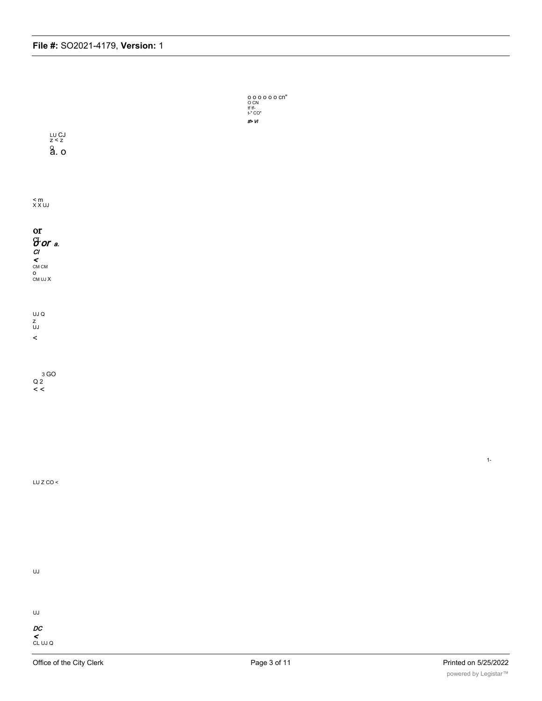

< CL UJ Q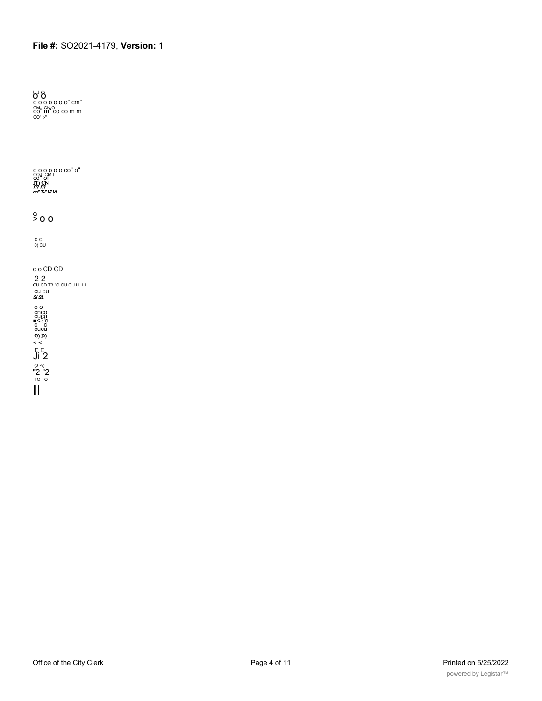$60^{\circ}$ <br>  $60^{\circ}$  o o o o o o" cm"<br>  $60^{\circ}$  fm"<br>  $60^{\circ}$  t"<br>  $60^{\circ}$  t"  $\frac{Q}{2}$  o o  $C$   $C$ <br>0) CU o o CD CD  $22$ <br>
CU CD T3 "O CU CU LL LL<br>
CU CU<br>
SI SL  $\begin{array}{c}\n0.00000\\
0.00000\\
0.0000\\
0.0000\\
0.0000\\
0.0000\\
0.0000\\
0.0000\\
0.0000\\
0.0000\\
0.0000\\
0.0000\\
0.0000\\
0.0000\\
0.0000\\
0.0000\\
0.0000\\
0.0000\\
0.0000\\
0.0000\\
0.0000\\
0.0000\\
0.0000\\
0.0000\\
0.0000\\
0.0000\\
0.$ 

Office of the City Clerk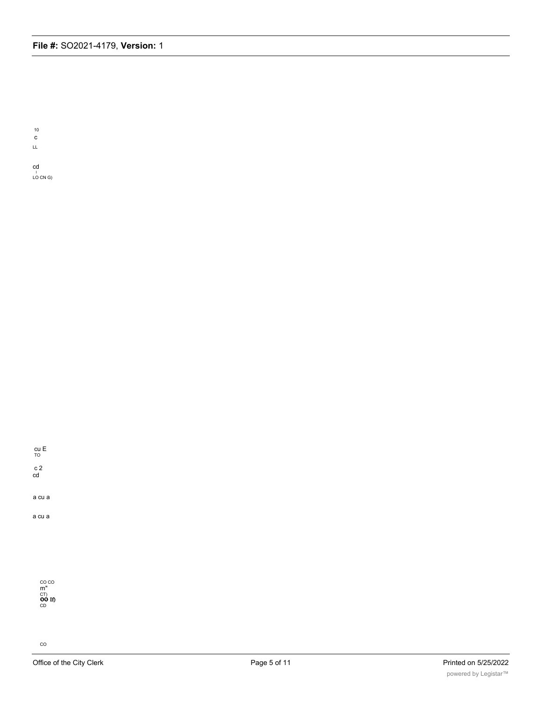10 c

LL

cd ।<br>LO CN G)

cu E TO c 2

cd

a cu a

a cu a

CO CO<br>m"<br>CT)<br>**OO If)**<br>CD

 $co$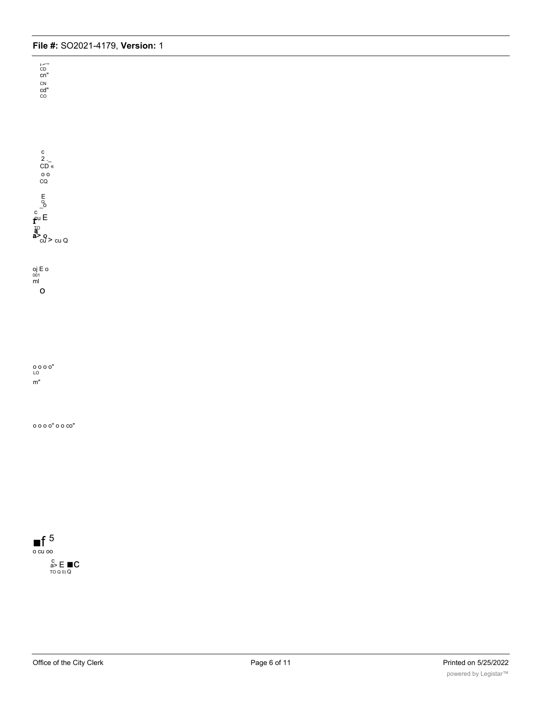r*>~*<br><sup>CD</sup><br>cn" CN cd" CO

c  $2 \nightharpoonup$ CD « o o CQ E<sub>O</sub> c<br>f<sup>cu E</sup> a><br>a> o<br>cu > cu Q

o

oj E o 001 ml

o o o o" LO m"

o o o o" o o co"

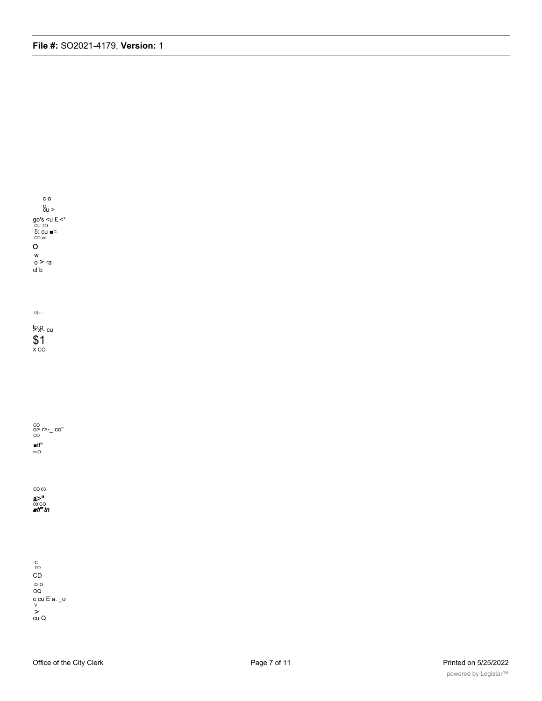

co<br>**o> r>-\_ co"**<br>co ■tf" <sO

CO 03 a>"<br>∞co<br>*∎tt" tn* 

c TO CD o o OQ c cu E a. \_o V > cu Q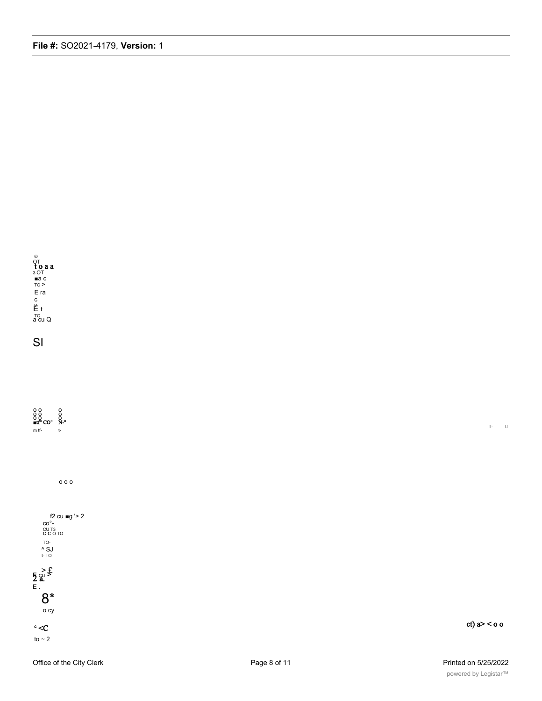

SI

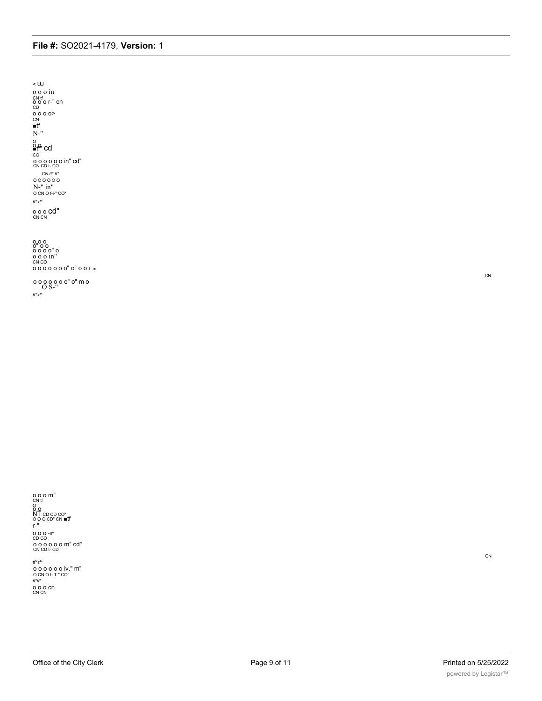*tf\* tf\**<br>
0 0 0 0 0 0 iv." m"<br>
0 CN 0 h-T-" CO"<br> *tf\*tf\**<br>
0 0 0 CN<br>
CN CN

r-" o o o •tf" CD CO o o o o o o m" cd" CN CD t- CD

o o o m"<br>cn tf<br>o<br>o o<br>o o c c co" cn ■tf<br>o o o c c co" cn ■tf

CN

CN

o o o o o o o" o" o o t- m o o o o o o o" o" m o O S-" *tf\* tf\**

o o o o" o o o o o o" o o o o in" CN CO

o<br>**≘tf" cd**<br>co o o o o o o in" cd" CN CD t- CO *CN tf\* tf\** O O O O O O N-" in" O CN O f-i-" CO" *tf\* tf\** o o o **cd"**<br><sup>CN CN</sup>

o o o in CN tf<br>O O O r-" Cn<br>CD<br>O O O O><br>CN<br>■tf N-"

< UJ

**File #:** SO2021-4179, **Version:** 1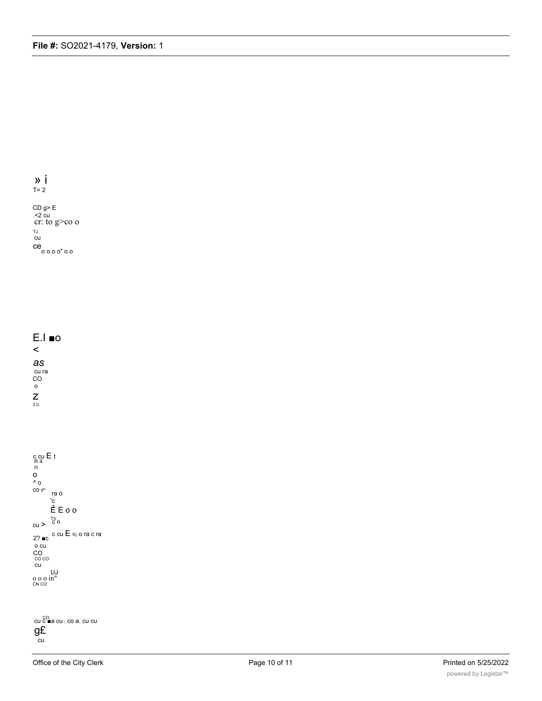$\rightarrow$  i  $T = 2$ 

CD g> E<br>
.<2 cu<br>
cr: to g>co o TJ  $cu$  $ce$ oooo" oo

 $E.I$  **no**  $\prec$ as cu ra<br>CO  $\circ$  $\sum_{3.0}$ 

 $\begin{array}{l} c\,c u\,E\,t\\ n\,a\\ 0\\ O\\ \Lambda_0 \end{array}$ CO $t\!f^{\star}$ ra o  $\overline{\vec{E}}$  E o o  $cu > \frac{1}{c}$ 2? ■c c cu  $E$  fi), o ra c ra  $\frac{10}{100}$  $cu$  $\frac{UJ}{CNCO}$ 

cu coma cu <sub>i</sub> co a. cu cu  $g\tilde{E}$  $\overline{c}$ u